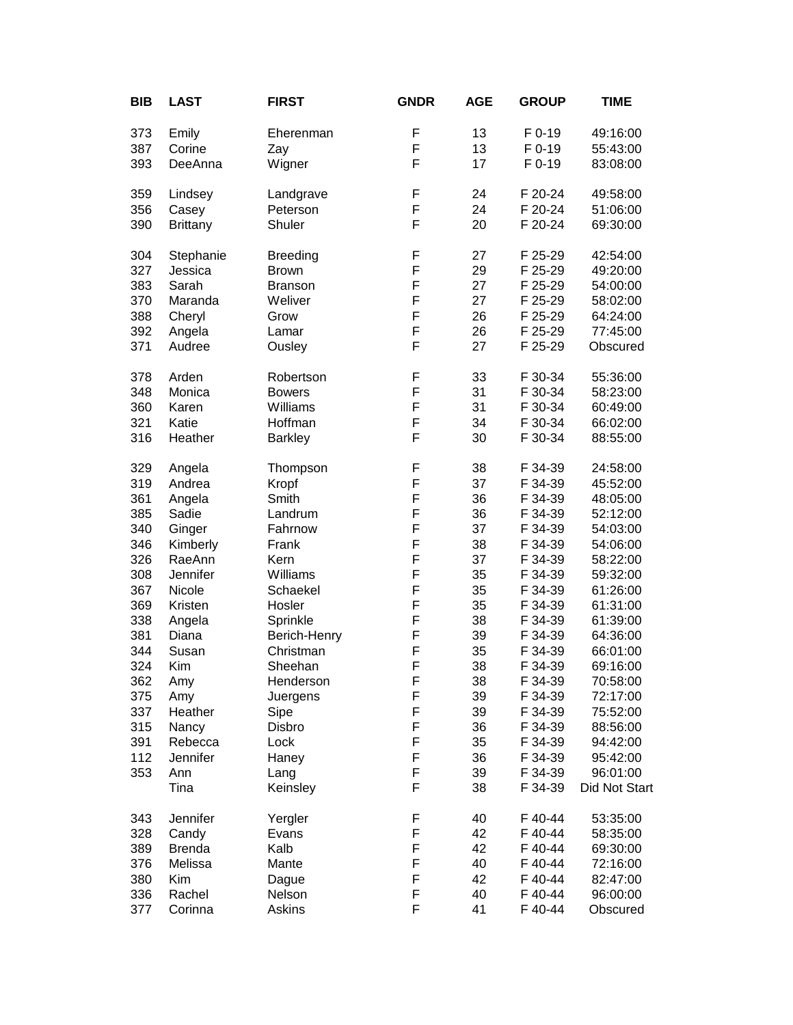| BIB | <b>LAST</b>     | <b>FIRST</b>    | <b>GNDR</b> | <b>AGE</b> | <b>GROUP</b> | <b>TIME</b>   |
|-----|-----------------|-----------------|-------------|------------|--------------|---------------|
| 373 | Emily           | Eherenman       | F           | 13         | F 0-19       | 49:16:00      |
| 387 | Corine          | Zay             | F           | 13         | F 0-19       | 55:43:00      |
| 393 | DeeAnna         | Wigner          | F           | 17         | F 0-19       | 83:08:00      |
| 359 | Lindsey         | Landgrave       | F           | 24         | F 20-24      | 49:58:00      |
| 356 | Casey           | Peterson        | F           | 24         | F 20-24      | 51:06:00      |
| 390 | <b>Brittany</b> | Shuler          | F           | 20         | F 20-24      | 69:30:00      |
| 304 | Stephanie       | <b>Breeding</b> | F           | 27         | F 25-29      | 42:54:00      |
| 327 | Jessica         | <b>Brown</b>    | F           | 29         | F 25-29      | 49:20:00      |
| 383 | Sarah           | <b>Branson</b>  | F           | 27         | F 25-29      | 54:00:00      |
| 370 | Maranda         | Weliver         | F           | 27         | F 25-29      | 58:02:00      |
| 388 | Cheryl          | Grow            | F           | 26         | F 25-29      | 64:24:00      |
| 392 | Angela          | Lamar           | F           | 26         | F 25-29      | 77:45:00      |
| 371 | Audree          | Ousley          | F           | 27         | F 25-29      | Obscured      |
| 378 | Arden           | Robertson       | F           | 33         | F 30-34      | 55:36:00      |
| 348 | Monica          | <b>Bowers</b>   | F           | 31         | F 30-34      | 58:23:00      |
| 360 | Karen           | Williams        | F           | 31         | F 30-34      | 60:49:00      |
| 321 | Katie           | Hoffman         | F           | 34         | F 30-34      | 66:02:00      |
| 316 | Heather         | <b>Barkley</b>  | F           | 30         | F 30-34      | 88:55:00      |
| 329 | Angela          | Thompson        | F           | 38         | F 34-39      | 24:58:00      |
| 319 | Andrea          | Kropf           | F           | 37         | F 34-39      | 45:52:00      |
| 361 | Angela          | Smith           | F           | 36         | F 34-39      | 48:05:00      |
| 385 | Sadie           | Landrum         | F           | 36         | F 34-39      | 52:12:00      |
| 340 | Ginger          | Fahrnow         | F           | 37         | F 34-39      | 54:03:00      |
| 346 | Kimberly        | Frank           | F           | 38         | F 34-39      | 54:06:00      |
| 326 | RaeAnn          | Kern            | F           | 37         | F 34-39      | 58:22:00      |
| 308 | Jennifer        | Williams        | F           | 35         | F 34-39      | 59:32:00      |
| 367 | Nicole          | Schaekel        | F           | 35         | F 34-39      | 61:26:00      |
| 369 | Kristen         | Hosler          | F           | 35         | F 34-39      | 61:31:00      |
| 338 | Angela          | Sprinkle        | F           | 38         | F 34-39      | 61:39:00      |
| 381 | Diana           | Berich-Henry    | F           | 39         | F 34-39      | 64:36:00      |
| 344 | Susan           | Christman       | F           | 35         | F 34-39      | 66:01:00      |
| 324 | Kim             | Sheehan         | F           | 38         | F 34-39      | 69:16:00      |
| 362 | Amy             | Henderson       | F           | 38         | F 34-39      | 70:58:00      |
| 375 | Amy             | Juergens        | F           | 39         | F 34-39      | 72:17:00      |
| 337 | Heather         | Sipe            | F           | 39         | F 34-39      | 75:52:00      |
| 315 | Nancy           | Disbro          | F           | 36         | F 34-39      | 88:56:00      |
| 391 | Rebecca         | Lock            | F           | 35         | F 34-39      | 94:42:00      |
| 112 | Jennifer        | Haney           | F           | 36         | F 34-39      | 95:42:00      |
| 353 | Ann             | Lang            | F           | 39         | F 34-39      | 96:01:00      |
|     | Tina            | Keinsley        | F           | 38         | F 34-39      | Did Not Start |
| 343 | Jennifer        | Yergler         | F           | 40         | F 40-44      | 53:35:00      |
| 328 | Candy           | Evans           | F           | 42         | F 40-44      | 58:35:00      |
| 389 | <b>Brenda</b>   | Kalb            | F           | 42         | F 40-44      | 69:30:00      |
| 376 | Melissa         | Mante           | F           | 40         | F 40-44      | 72:16:00      |
| 380 | Kim             | Dague           | F           | 42         | F 40-44      | 82:47:00      |
| 336 | Rachel          | Nelson          | F           | 40         | F 40-44      | 96:00:00      |
| 377 | Corinna         | Askins          | F           | 41         | F 40-44      | Obscured      |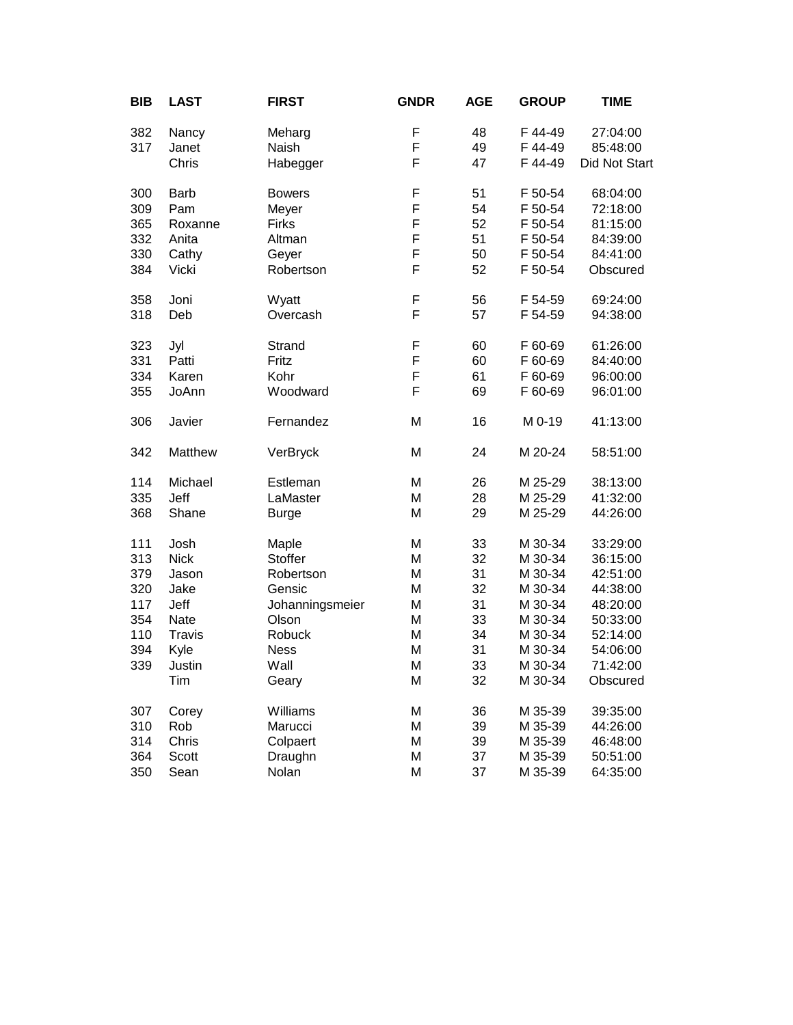| <b>BIB</b> | <b>LAST</b> | <b>FIRST</b>    | <b>GNDR</b> | <b>AGE</b> | <b>GROUP</b> | <b>TIME</b>   |
|------------|-------------|-----------------|-------------|------------|--------------|---------------|
| 382        | Nancy       | Meharg          | F           | 48         | F 44-49      | 27:04:00      |
| 317        | Janet       | Naish           | F           | 49         | F 44-49      | 85:48:00      |
|            | Chris       | Habegger        | F           | 47         | F 44-49      | Did Not Start |
| 300        | <b>Barb</b> | <b>Bowers</b>   | F           | 51         | F 50-54      | 68:04:00      |
| 309        | Pam         | Meyer           | F           | 54         | F 50-54      | 72:18:00      |
| 365        | Roxanne     | <b>Firks</b>    | F           | 52         | F 50-54      | 81:15:00      |
| 332        | Anita       | Altman          | F           | 51         | F 50-54      | 84:39:00      |
| 330        | Cathy       | Geyer           | F           | 50         | F 50-54      | 84:41:00      |
| 384        | Vicki       | Robertson       | F           | 52         | F 50-54      | Obscured      |
| 358        | Joni        | Wyatt           | F           | 56         | F 54-59      | 69:24:00      |
| 318        | Deb         | Overcash        | F           | 57         | F 54-59      | 94:38:00      |
| 323        | Jyl         | Strand          | F           | 60         | F 60-69      | 61:26:00      |
| 331        | Patti       | Fritz           | F           | 60         | F 60-69      | 84:40:00      |
| 334        | Karen       | Kohr            | F           | 61         | F 60-69      | 96:00:00      |
| 355        | JoAnn       | Woodward        | F           | 69         | F 60-69      | 96:01:00      |
| 306        | Javier      | Fernandez       | M           | 16         | M 0-19       | 41:13:00      |
| 342        | Matthew     | VerBryck        | M           | 24         | M 20-24      | 58:51:00      |
| 114        | Michael     | Estleman        | M           | 26         | M 25-29      | 38:13:00      |
| 335        | Jeff        | LaMaster        | M           | 28         | M 25-29      | 41:32:00      |
| 368        | Shane       | <b>Burge</b>    | M           | 29         | M 25-29      | 44:26:00      |
| 111        | Josh        | Maple           | M           | 33         | M 30-34      | 33:29:00      |
| 313        | <b>Nick</b> | Stoffer         | M           | 32         | M 30-34      | 36:15:00      |
| 379        | Jason       | Robertson       | M           | 31         | M 30-34      | 42:51:00      |
| 320        | Jake        | Gensic          | M           | 32         | M 30-34      | 44:38:00      |
| 117        | Jeff        | Johanningsmeier | M           | 31         | M 30-34      | 48:20:00      |
| 354        | Nate        | Olson           | M           | 33         | M 30-34      | 50:33:00      |
| 110        | Travis      | Robuck          | M           | 34         | M 30-34      | 52:14:00      |
| 394        | Kyle        | <b>Ness</b>     | M           | 31         | M 30-34      | 54:06:00      |
| 339        | Justin      | Wall            | M           | 33         | M 30-34      | 71:42:00      |
|            | Tim         | Geary           | M           | 32         | M 30-34      | Obscured      |
| 307        | Corey       | Williams        | M           | 36         | M 35-39      | 39:35:00      |
| 310        | Rob         | Marucci         | M           | 39         | M 35-39      | 44:26:00      |
| 314        | Chris       | Colpaert        | M           | 39         | M 35-39      | 46:48:00      |
| 364        | Scott       | Draughn         | M           | 37         | M 35-39      | 50:51:00      |
| 350        | Sean        | Nolan           | M           | 37         | M 35-39      | 64:35:00      |